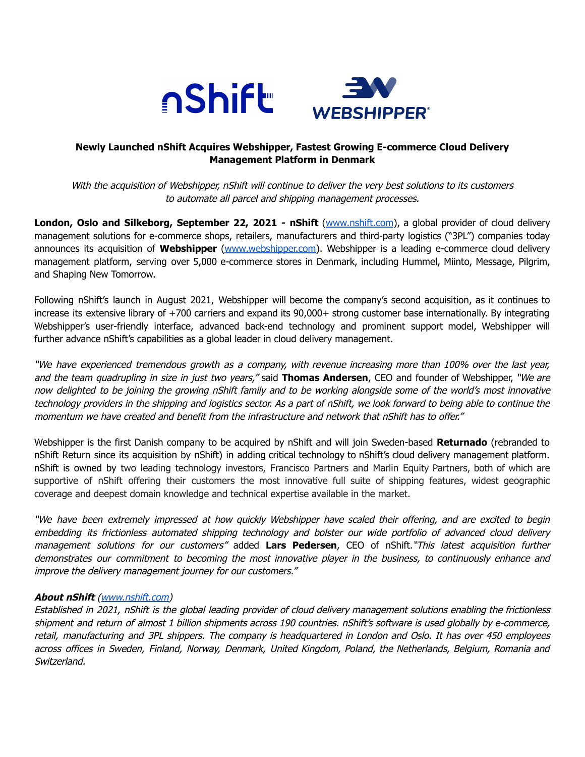



# **Newly Launched nShift Acquires Webshipper, Fastest Growing E-commerce Cloud Delivery Management Platform in Denmark**

With the acquisition of Webshipper, nShift will continue to deliver the very best solutions to its customers to automate all parcel and shipping management processes.

**London, Oslo and Silkeborg, September 22, 2021 - nShift** [\(www.nshift.com](http://www.nshift.com)), a global provider of cloud delivery management solutions for e-commerce shops, retailers, manufacturers and third-party logistics ("3PL") companies today announces its acquisition of **Webshipper** [\(www.webshipper.com\)](http://www.webshipper.com). Webshipper is a leading e-commerce cloud delivery management platform, serving over 5,000 e-commerce stores in Denmark, including Hummel, Miinto, Message, Pilgrim, and Shaping New Tomorrow.

Following nShift's launch in August 2021, Webshipper will become the company's second acquisition, as it continues to increase its extensive library of +700 carriers and expand its 90,000+ strong customer base internationally. By integrating Webshipper's user-friendly interface, advanced back-end technology and prominent support model, Webshipper will further advance nShift's capabilities as a global leader in cloud delivery management.

"We have experienced tremendous growth as <sup>a</sup> company, with revenue increasing more than 100% over the last year, and the team quadrupling in size in just two years," said **Thomas Andersen**, CEO and founder of Webshipper, "We are now delighted to be joining the growing nShift family and to be working alongside some of the world's most innovative technology providers in the shipping and logistics sector. As <sup>a</sup> part of nShift, we look forward to being able to continue the momentum we have created and benefit from the infrastructure and network that nShift has to offer."

Webshipper is the first Danish company to be acquired by nShift and will join Sweden-based **Returnado** (rebranded to nShift Return since its acquisition by nShift) in adding critical technology to nShift's cloud delivery management platform. nShift is owned by two leading technology investors, Francisco Partners and Marlin Equity Partners, both of which are supportive of nShift offering their customers the most innovative full suite of shipping features, widest geographic coverage and deepest domain knowledge and technical expertise available in the market.

"We have been extremely impressed at how quickly Webshipper have scaled their offering, and are excited to begin embedding its frictionless automated shipping technology and bolster our wide portfolio of advanced cloud delivery management solutions for our customers" added **Lars Pedersen**, CEO of nShift."This latest acquisition further demonstrates our commitment to becoming the most innovative player in the business, to continuously enhance and improve the delivery management journey for our customers."

## **About nShift** [\(www.nshift.com\)](http://www.nshift.com)

Established in 2021, nShift is the global leading provider of cloud delivery management solutions enabling the frictionless shipment and return of almost 1 billion shipments across 190 countries. nShift's software is used globally by e-commerce, retail, manufacturing and 3PL shippers. The company is headquartered in London and Oslo. It has over 450 employees across offices in Sweden, Finland, Norway, Denmark, United Kingdom, Poland, the Netherlands, Belgium, Romania and Switzerland.